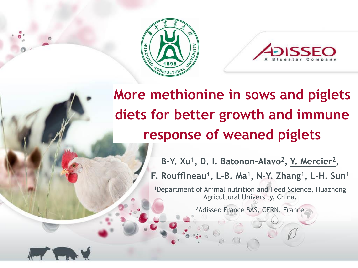



## **More methionine in sows and piglets diets for better growth and immune response of weaned piglets**

B-Y. Xu<sup>1</sup>, D. I. Batonon-Alavo<sup>2</sup>, Y. Mercier<sup>2</sup>,

**F. Rouffineau<sup>1</sup> , L-B. Ma<sup>1</sup> , N-Y. Zhang<sup>1</sup> , L-H. Sun<sup>1</sup>**

<sup>1</sup>Department of Animal nutrition and Feed Science, Huazhong Agricultural University, China.

2Adisseo France SAS, CERN, France

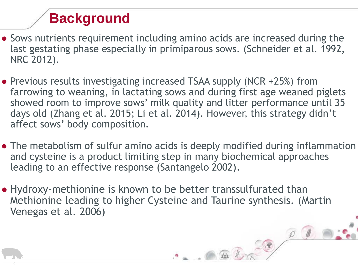## **Background**

- Sows nutrients requirement including amino acids are increased during the last gestating phase especially in primiparous sows. (Schneider et al. 1992, NRC 2012).
- Previous results investigating increased TSAA supply (NCR +25%) from farrowing to weaning, in lactating sows and during first age weaned piglets showed room to improve sows' milk quality and litter performance until 35 days old (Zhang et al. 2015; Li et al. 2014). However, this strategy didn't affect sows' body composition.
- The metabolism of sulfur amino acids is deeply modified during inflammation and cysteine is a product limiting step in many biochemical approaches leading to an effective response (Santangelo 2002).
- Hydroxy-methionine is known to be better transsulfurated than Methionine leading to higher Cysteine and Taurine synthesis. (Martin Venegas et al. 2006)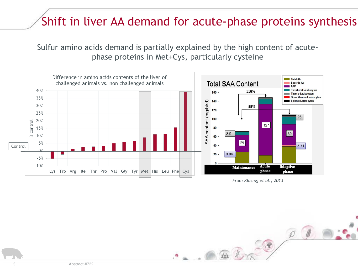## Shift in liver AA demand for acute-phase proteins synthesis

Sulfur amino acids demand is partially explained by the high content of acutephase proteins in Met+Cys, particularly cysteine



*From Klasing et al., 2013*

age

 $222$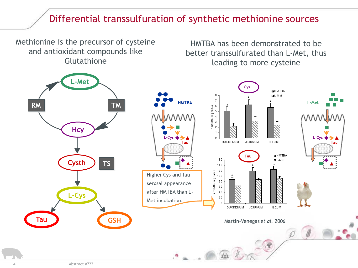### Differential transsulfuration of synthetic methionine sources

Methionine is the precursor of cysteine and antioxidant compounds like Glutathione

HMTBA has been demonstrated to be better transsulfurated than L-Met, thus leading to more cysteine

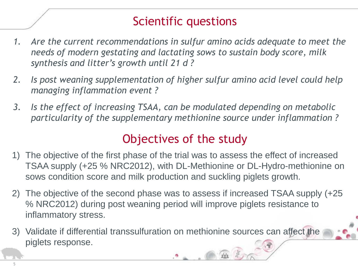## Scientific questions

- *1. Are the current recommendations in sulfur amino acids adequate to meet the needs of modern gestating and lactating sows to sustain body score, milk synthesis and litter's growth until 21 d ?*
- *2. Is post weaning supplementation of higher sulfur amino acid level could help managing inflammation event ?*
- *3. Is the effect of increasing TSAA, can be modulated depending on metabolic particularity of the supplementary methionine source under inflammation ?*

## Objectives of the study

- 1) The objective of the first phase of the trial was to assess the effect of increased TSAA supply (+25 % NRC2012), with DL-Methionine or DL-Hydro-methionine on sows condition score and milk production and suckling piglets growth.
- 2) The objective of the second phase was to assess if increased TSAA supply (+25 % NRC2012) during post weaning period will improve piglets resistance to inflammatory stress.
- 3) Validate if differential transsulfuration on methionine sources can affect the piglets response.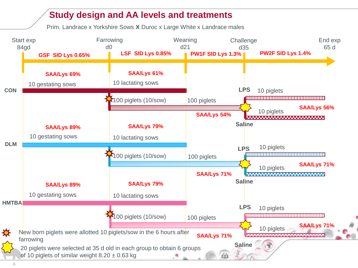#### **Study design and AA levels and treatments**

Prim. Landrace x Yorkshire Sows **X** Duroc x Large White x Landrace males

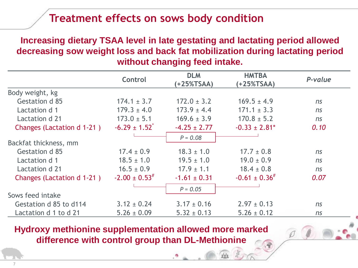### **Treatment effects on sows body condition**

#### **Increasing dietary TSAA level in late gestating and lactating period allowed decreasing sow weight loss and back fat mobilization during lactating period without changing feed intake.**

|                            | <b>Control</b>                | <b>DLM</b><br>(+25%TSAA) | <b>HMTBA</b><br>$(+25\%TSAA)$ | P-value |
|----------------------------|-------------------------------|--------------------------|-------------------------------|---------|
| Body weight, kg            |                               |                          |                               |         |
| Gestation d 85             | $174.1 \pm 3.7$               | $172.0 \pm 3.2$          | $169.5 \pm 4.9$               | ns      |
| Lactation d 1              | $179.3 \pm 4.0$               | $173.9 \pm 4.4$          | $171.1 \pm 3.3$               | ns      |
| Lactation d 21             | $173.0 \pm 5.1$               | $169.6 \pm 3.9$          | $170.8 \pm 5.2$               | ns      |
| Changes (Lactation d 1-21) | $-6.29 \pm 1.52$ <sup>*</sup> | $-4.25 \pm 2.77$         | $-0.33 \pm 2.81$ <sup>*</sup> | 0.10    |
|                            |                               | $P = 0.08$               |                               |         |
| Backfat thickness, mm      |                               |                          |                               |         |
| Gestation d 85             | $17.4 \pm 0.9$                | $18.3 \pm 1.0$           | $17.7 \pm 0.8$                | ns      |
| Lactation d 1              | $18.5 \pm 1.0$                | $19.5 \pm 1.0$           | $19.0 \pm 0.9$                | ns      |
| Lactation d 21             | $16.5 \pm 0.9$                | $17.9 \pm 1.1$           | $18.4 \pm 0.8$                | ns      |
| Changes (Lactation d 1-21) | $-2.00 \pm 0.53^{\#}$         | $-1.61 \pm 0.31$         | $-0.61 \pm 0.36^{#}$          | 0.07    |
|                            |                               | $P = 0.05$               |                               |         |
| Sows feed intake           |                               |                          |                               |         |
| Gestation d 85 to d114     | $3.12 \pm 0.24$               | $3.17 \pm 0.16$          | $2.97 \pm 0.13$               | ns      |
| Lactation d 1 to d 21      | $5.26 \pm 0.09$               | $5.32 \pm 0.13$          | $5.26 \pm 0.12$               | ns      |

**Hydroxy methionine supplementation allowed more marked difference with control group than DL-Methionine**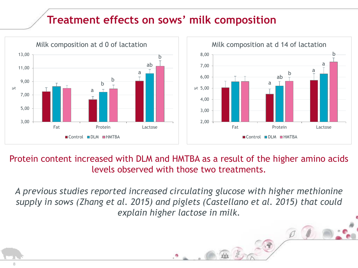## **Treatment effects on sows' milk composition**



Protein content increased with DLM and HMTBA as a result of the higher amino acids levels observed with those two treatments.

*A previous studies reported increased circulating glucose with higher methionine supply in sows (Zhang et al. 2015) and piglets (Castellano et al. 2015) that could explain higher lactose in milk.*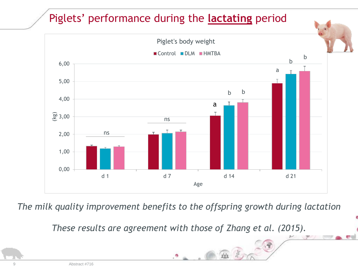## Piglets' performance during the **lactating** period



*The milk quality improvement benefits to the offspring growth during lactation* 

*These results are agreement with those of Zhang et al. (2015).*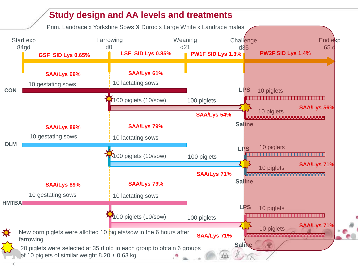#### **Study design and AA levels and treatments**

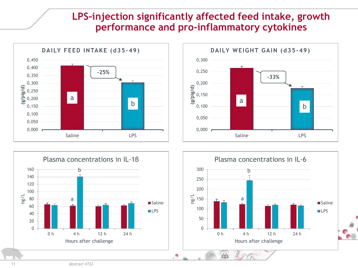#### **LPS-injection significantly affected feed intake, growth performance and pro-inflammatory cytokines**





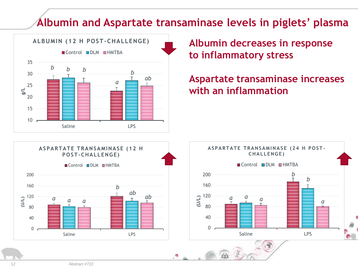## **Albumin and Aspartate transaminase levels in piglets' plasma**



**Albumin decreases in response to inflammatory stress** 

#### **Aspartate transaminase increases with an inflammation**



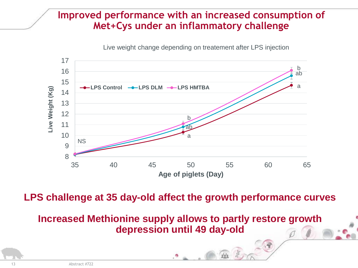#### **Improved performance with an increased consumption of Met+Cys under an inflammatory challenge**

Live weight change depending on treatement after LPS injection



**LPS challenge at 35 day-old affect the growth performance curves** 

**Increased Methionine supply allows to partly restore growth depression until 49 day-old**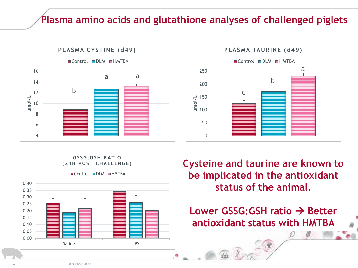### **Plasma amino acids and glutathione analyses of challenged piglets**







**Cysteine and taurine are known to be implicated in the antioxidant status of the animal.**

**Lower GSSG:GSH ratio** → **Better antioxidant status with HMTBA**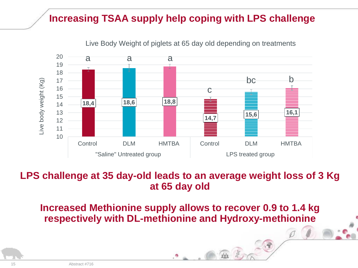### **Increasing TSAA supply help coping with LPS challenge**



Live Body Weight of piglets at 65 day old depending on treatments

#### **LPS challenge at 35 day-old leads to an average weight loss of 3 Kg at 65 day old**

**Increased Methionine supply allows to recover 0.9 to 1.4 kg respectively with DL-methionine and Hydroxy-methionine**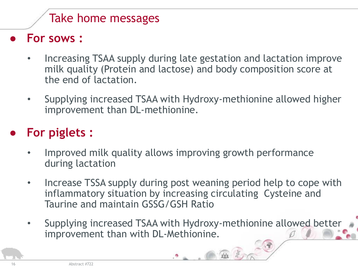## Take home messages

● **For sows :** 

- Increasing TSAA supply during late gestation and lactation improve milk quality (Protein and lactose) and body composition score at the end of lactation.
- Supplying increased TSAA with Hydroxy-methionine allowed higher improvement than DL-methionine.

## ● **For piglets :**

- Improved milk quality allows improving growth performance during lactation
- Increase TSSA supply during post weaning period help to cope with inflammatory situation by increasing circulating Cysteine and Taurine and maintain GSSG/GSH Ratio
- Supplying increased TSAA with Hydroxy-methionine allowed better improvement than with DL-Methionine.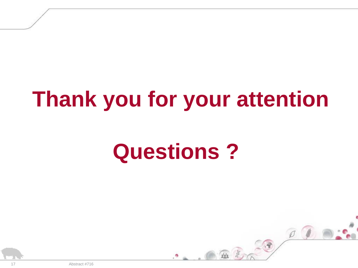# **Thank you for your attention**

# **Questions ?**



17 Abstract #716